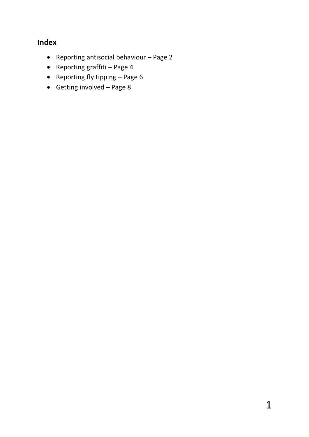# **Index**

- Reporting antisocial behaviour Page 2
- Reporting graffiti Page  $4$
- Reporting fly tipping  $-$  Page 6
- $\bullet$  Getting involved Page 8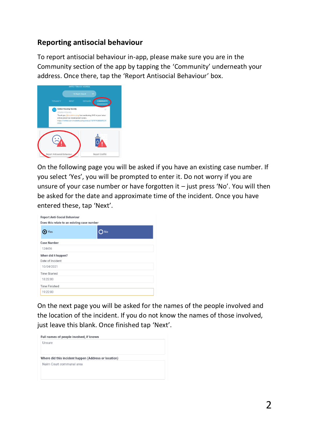#### **Reporting antisocial behaviour**

To report antisocial behaviour in-app, please make sure you are in the Community section of the app by tapping the 'Community' underneath your address. Once there, tap the 'Report Antisocial Behaviour' box.



On the following page you will be asked if you have an existing case number. If you select 'Yes', you will be prompted to enter it. Do not worry if you are unsure of your case number or have forgotten it – just press 'No'. You will then be asked for the date and approximate time of the incident. Once you have entered these, tap 'Next'.

| <b>Report Anti-Social Behaviour</b><br>Does this relate to an existing case number |           |
|------------------------------------------------------------------------------------|-----------|
| Yes                                                                                | <b>No</b> |
| <b>Case Number</b>                                                                 |           |
| 124456                                                                             |           |
| When did it happen?                                                                |           |
| Date of Incident                                                                   |           |
| 10/04/2021                                                                         |           |
| <b>Time Started</b>                                                                |           |
| 18:22:00                                                                           |           |
| <b>Time Finished</b>                                                               |           |
| 19:22:00                                                                           |           |

On the next page you will be asked for the names of the people involved and the location of the incident. If you do not know the names of those involved, just leave this blank. Once finished tap 'Next'.

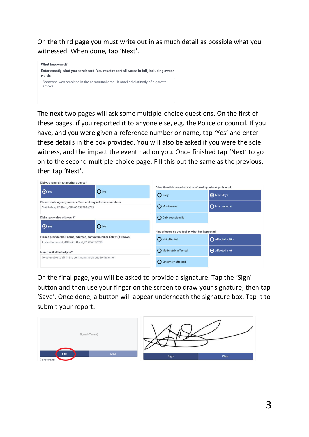On the third page you must write out in as much detail as possible what you witnessed. When done, tap 'Next'.



The next two pages will ask some multiple-choice questions. On the first of these pages, if you reported it to anyone else, e.g. the Police or council. If you have, and you were given a reference number or name, tap 'Yes' and enter these details in the box provided. You will also be asked if you were the sole witness, and the impact the event had on you. Once finished tap 'Next' to go on to the second multiple-choice page. Fill this out the same as the previous, then tap 'Next'.

| Did you report it to another agency?                                |                                                            |                      |
|---------------------------------------------------------------------|------------------------------------------------------------|----------------------|
| $\bigcirc$ Yes<br>$O_{N0}$                                          | Other than this occasion - How often do you have problems? |                      |
|                                                                     | O Daily                                                    | Most days            |
| Please state agency name, officer and any reference numbers         |                                                            |                      |
| Met Police, PC Pero, CRN03857294#749                                | O Most weeks                                               | <b>O</b> Most months |
| Did anyone else witness it?                                         | O Only occasionally                                        |                      |
| $\bigcirc$ Yes<br>$O_{NQ}$                                          | How affected do you feel by what has happened              |                      |
| Please provide their name, address, contact number below (if known) |                                                            |                      |
| Xavier Pamment, 48 Nairn Court, 01234577890                         | Not affected                                               | Affected a little    |
| How has it affected you?                                            | Moderately affected                                        | Affected a lot       |
| I was unable to sit in the communal area due to the smell           | ◯ Extremely affected                                       |                      |

On the final page, you will be asked to provide a signature. Tap the 'Sign' button and then use your finger on the screen to draw your signature, then tap 'Save'. Once done, a button will appear underneath the signature box. Tap it to submit your report.

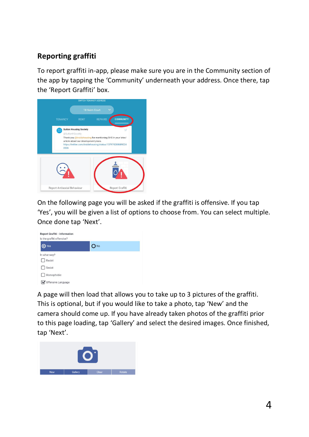## **Reporting graffiti**

To report graffiti in-app, please make sure you are in the Community section of the app by tapping the 'Community' underneath your address. Once there, tap the 'Report Graffiti' box.



On the following page you will be asked if the graffiti is offensive. If you tap 'Yes', you will be given a list of options to choose from. You can select multiple. Once done tap 'Next'.



A page will then load that allows you to take up to 3 pictures of the graffiti. This is optional, but if you would like to take a photo, tap 'New' and the camera should come up. If you have already taken photos of the graffiti prior to this page loading, tap 'Gallery' and select the desired images. Once finished, tap 'Next'.

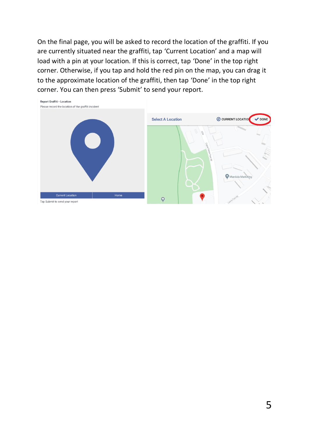On the final page, you will be asked to record the location of the graffiti. If you are currently situated near the graffiti, tap 'Current Location' and a map will load with a pin at your location. If this is correct, tap 'Done' in the top right corner. Otherwise, if you tap and hold the red pin on the map, you can drag it to the approximate location of the graffiti, then tap 'Done' in the top right corner. You can then press 'Submit' to send your report.

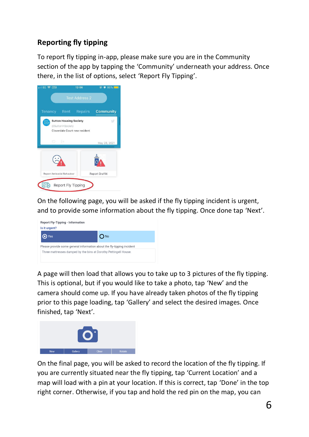# **Reporting fly tipping**

To report fly tipping in-app, please make sure you are in the Community section of the app by tapping the 'Community' underneath your address. Once there, in the list of options, select 'Report Fly Tipping'.



On the following page, you will be asked if the fly tipping incident is urgent, and to provide some information about the fly tipping. Once done tap 'Next'.



A page will then load that allows you to take up to 3 pictures of the fly tipping. This is optional, but if you would like to take a photo, tap 'New' and the camera should come up. If you have already taken photos of the fly tipping prior to this page loading, tap 'Gallery' and select the desired images. Once finished, tap 'Next'.



On the final page, you will be asked to record the location of the fly tipping. If you are currently situated near the fly tipping, tap 'Current Location' and a map will load with a pin at your location. If this is correct, tap 'Done' in the top right corner. Otherwise, if you tap and hold the red pin on the map, you can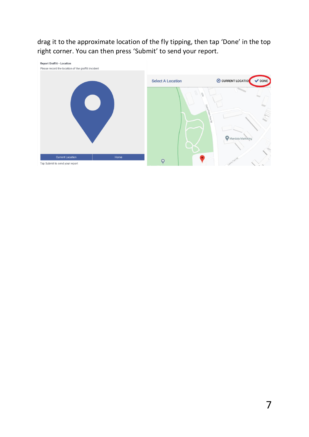drag it to the approximate location of the fly tipping, then tap 'Done' in the top right corner. You can then press 'Submit' to send your report.